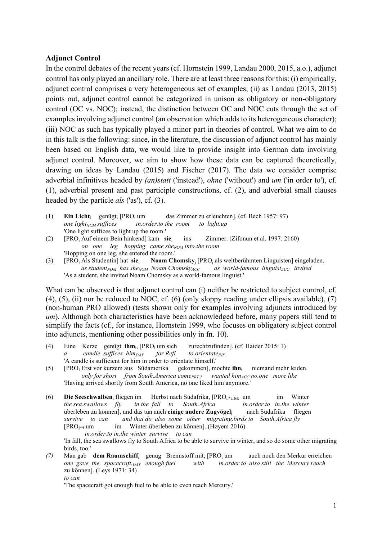## **Adjunct Control**

In the control debates of the recent years (cf. Hornstein 1999, Landau 2000, 2015, a.o.), adjunct control has only played an ancillary role. There are at least three reasons for this: (i) empirically, adjunct control comprises a very heterogeneous set of examples; (ii) as Landau (2013, 2015) points out, adjunct control cannot be categorized in unison as obligatory or non-obligatory control (OC vs. NOC); instead, the distinction between OC and NOC cuts through the set of examples involving adjunct control (an observation which adds to its heterogeneous character); (iii) NOC as such has typically played a minor part in theories of control. What we aim to do in this talk is the following: since, in the literature, the discussion of adjunct control has mainly been based on English data, we would like to provide insight into German data involving adjunct control. Moreover, we aim to show how these data can be captured theoretically, drawing on ideas by Landau (2015) and Fischer (2017). The data we consider comprise adverbial infinitives headed by *(an)statt* ('instead'), *ohne* ('without') and *um* ('in order to'), cf. (1), adverbial present and past participle constructions, cf. (2), and adverbial small clauses headed by the particle *als* ('as'), cf. (3).

- (1) **Ein Licht**<sub>i</sub> genügt,  $[PRO_i$  um das Zimmer zu erleuchten]. (cf. Bech 1957: 97) one light<sub>NOM</sub> suffices in order to the room to light up *one light<sub>NOM</sub> suffices in.order.to the room to light.up* 'One light suffices to light up the room.'
- (2) [PROi Auf einem Bein hinkend] kam **sie**i ins Zimmer. (Zifonun et al. 1997: 2160) *on one leg hopping came she<sub>NOM</sub> into the room* 'Hopping on one leg, she entered the room.'
- (3) [PROi Als Studentin] hat **sie**i **Noam Chomsky**<sup>j</sup> [PROj als weltberühmten Linguisten] eingeladen. as student<sub>NOM</sub> has she<sub>NOM</sub> Noam Chomsky<sub>ACC</sub> as world-famous linguist<sub>ACC</sub> invited 'As a student, she invited Noam Chomsky as a world-famous linguist.'

What can be observed is that adjunct control can (i) neither be restricted to subject control, cf.  $(4)$ ,  $(5)$ ,  $(ii)$  nor be reduced to NOC, cf.  $(6)$  (only sloppy reading under ellipsis available),  $(7)$ (non-human PRO allowed) (tests shown only for examples involving adjuncts introduced by *um*). Although both characteristics have been acknowledged before, many papers still tend to simplify the facts (cf., for instance, Hornstein 1999, who focuses on obligatory subject control into adjuncts, mentioning other possibilities only in fn. 10).

- (4) Eine Kerze genügt **ihm**i, [PROi um sich zurechtzufinden]. (cf. Haider 2015: 1)  $a$  candle suffices  $him_{DATA}$  for Refl to.orientate<sub>INF.</sub> 'A candle is sufficient for him in order to orientate himself.'
- (5) [PRO<sub>i</sub> Erst vor kurzem aus Südamerika gekommen], mochte **ihn**<sub>i</sub> niemand mehr leiden. *only for short* from South.America come<sub>PRT?</sub> wanted him<sub>ACC</sub> no.one more like 'Having arrived shortly from South America, no one liked him anymore.'
- (6) **Die Seeschwalben**<sub>i</sub> fliegen im Herbst nach Südafrika,  $[PRO_{i\ast arb k}$  um im Winter *the sea.swallows fly in.the fall to South.Africa in.order.to in.the winter the sea.swallows fly in.the fall to South.Africa in.order.to in.the winter* überleben zu können], und das tun auch **einige andere Zugvögel**j nach Südafrika fliegen *survive to can and that do also some other migrating.birds to South.Africa fly*  $[PRO_{i*1}$  um im Winter überleben zu können]. (Høyem 2016)  *in.order.to in.the winter survive to can*

'In fall, the sea swallows fly to South Africa to be able to survive in winter, and so do some other migrating birds, too.'

*(7)* Man gab **dem Raumschiff**<sub>i</sub> genug Brennstoff mit, [PRO<sub>i</sub> um auch noch den Merkur erreichen *one gave the spacecraft. DAT enough fuel with in. order. to also still the Mercury reach one gave the spacecraft. DAT enough fuel with* zu können]. (Leys 1971: 34) *to can*

'The spacecraft got enough fuel to be able to even reach Mercury.'